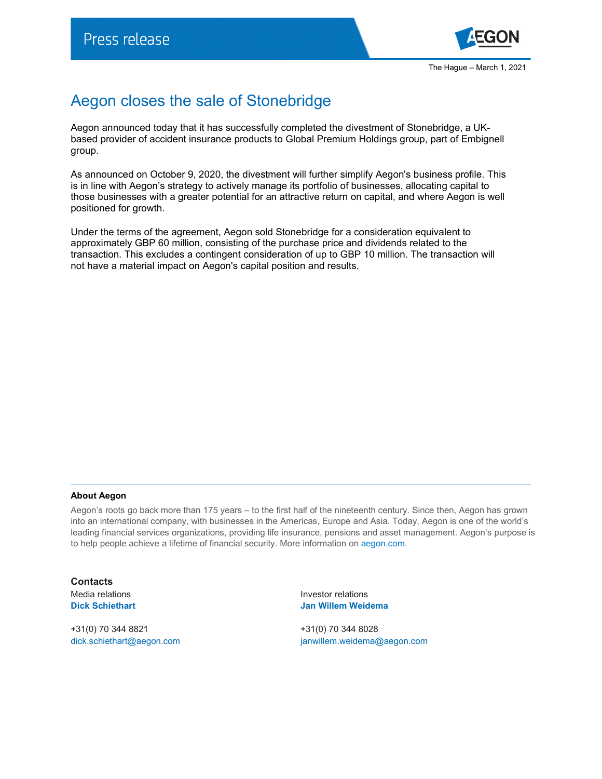

## Aegon closes the sale of Stonebridge

Aegon announced today that it has successfully completed the divestment of Stonebridge, a UKbased provider of accident insurance products to Global Premium Holdings group, part of Embignell group.

As announced on October 9, 2020, the divestment will further simplify Aegon's business profile. This is in line with Aegon's strategy to actively manage its portfolio of businesses, allocating capital to those businesses with a greater potential for an attractive return on capital, and where Aegon is well positioned for growth.

Under the terms of the agreement, Aegon sold Stonebridge for a consideration equivalent to approximately GBP 60 million, consisting of the purchase price and dividends related to the transaction. This excludes a contingent consideration of up to GBP 10 million. The transaction will not have a material impact on Aegon's capital position and results.

## **About Aegon**

Aegon's roots go back more than 175 years – to the first half of the nineteenth century. Since then, Aegon has grown into an international company, with businesses in the Americas, Europe and Asia. Today, Aegon is one of the world's leading financial services organizations, providing life insurance, pensions and asset management. Aegon's purpose is to help people achieve a lifetime of financial security. More information on [aegon.com.](https://www.aegon.com/about/)

**Contacts**

+31(0) 70 344 8821 +31(0) 70 344 8028

Media relations Investor relations **Dick Schiethart Jan Willem Weidema**

[dick.schiethart@aegon.com](mailto:dick.schiethart@aegon.com) [janwillem.weidema@aegon.com](mailto:janwillem.weidema@aegon.com)